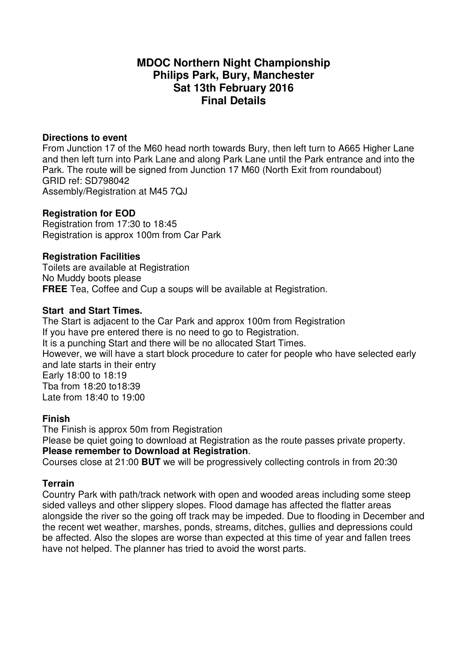# **MDOC Northern Night Championship Philips Park, Bury, Manchester Sat 13th February 2016 Final Details**

#### **Directions to event**

From Junction 17 of the M60 head north towards Bury, then left turn to A665 Higher Lane and then left turn into Park Lane and along Park Lane until the Park entrance and into the Park. The route will be signed from Junction 17 M60 (North Exit from roundabout) GRID ref: SD798042 Assembly/Registration at M45 7QJ

### **Registration for EOD**

Registration from 17:30 to 18:45 Registration is approx 100m from Car Park

### **Registration Facilities**

Toilets are available at Registration No Muddy boots please **FREE** Tea. Coffee and Cup a soups will be available at Registration.

### **Start and Start Times.**

The Start is adjacent to the Car Park and approx 100m from Registration If you have pre entered there is no need to go to Registration. It is a punching Start and there will be no allocated Start Times. However, we will have a start block procedure to cater for people who have selected early and late starts in their entry Early 18:00 to 18:19 Tba from 18:20 to18:39 Late from 18:40 to 19:00

## **Finish**

The Finish is approx 50m from Registration Please be quiet going to download at Registration as the route passes private property. **Please remember to Download at Registration**.

Courses close at 21:00 **BUT** we will be progressively collecting controls in from 20:30

## **Terrain**

Country Park with path/track network with open and wooded areas including some steep sided valleys and other slippery slopes. Flood damage has affected the flatter areas alongside the river so the going off track may be impeded. Due to flooding in December and the recent wet weather, marshes, ponds, streams, ditches, gullies and depressions could be affected. Also the slopes are worse than expected at this time of year and fallen trees have not helped. The planner has tried to avoid the worst parts.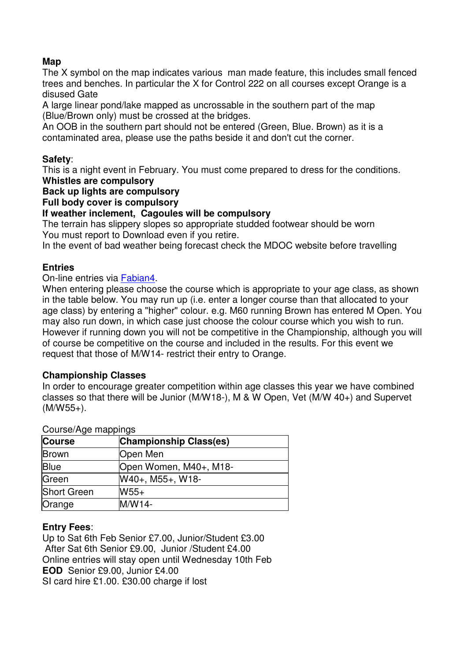## **Map**

The X symbol on the map indicates various man made feature, this includes small fenced trees and benches. In particular the X for Control 222 on all courses except Orange is a disused Gate

A large linear pond/lake mapped as uncrossable in the southern part of the map (Blue/Brown only) must be crossed at the bridges.

An OOB in the southern part should not be entered (Green, Blue. Brown) as it is a contaminated area, please use the paths beside it and don't cut the corner.

## **Safety**:

This is a night event in February. You must come prepared to dress for the conditions. **Whistles are compulsory** 

## **Back up lights are compulsory**

**Full body cover is compulsory** 

## **If weather inclement, Cagoules will be compulsory**

The terrain has slippery slopes so appropriate studded footwear should be worn You must report to Download even if you retire.

In the event of bad weather being forecast check the MDOC website before travelling

## **Entries**

### On-line entries via Fabian4.

When entering please choose the course which is appropriate to your age class, as shown in the table below. You may run up (i.e. enter a longer course than that allocated to your age class) by entering a "higher" colour. e.g. M60 running Brown has entered M Open. You may also run down, in which case just choose the colour course which you wish to run. However if running down you will not be competitive in the Championship, although you will of course be competitive on the course and included in the results. For this event we request that those of M/W14- restrict their entry to Orange.

## **Championship Classes**

In order to encourage greater competition within age classes this year we have combined classes so that there will be Junior (M/W18-), M & W Open, Vet (M/W 40+) and Supervet (M/W55+).

| <b>OUULOUIT IYO THAPPIHYO</b> |                               |  |  |
|-------------------------------|-------------------------------|--|--|
| Course                        | <b>Championship Class(es)</b> |  |  |
| Brown                         | Open Men                      |  |  |
| <b>Blue</b>                   | Open Women, M40+, M18-        |  |  |
| Green                         | W40+, M55+, W18-              |  |  |
| Short Green                   | $W55+$                        |  |  |
| Orange                        | M/W14-                        |  |  |

#### Course/Age mappings

## **Entry Fees**:

Up to Sat 6th Feb Senior £7.00, Junior/Student £3.00 After Sat 6th Senior £9.00, Junior /Student £4.00 Online entries will stay open until Wednesday 10th Feb **EOD** Senior £9.00, Junior £4.00 SI card hire £1.00. £30.00 charge if lost